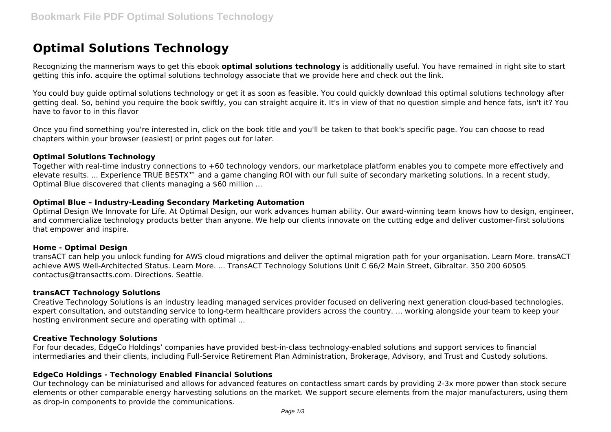# **Optimal Solutions Technology**

Recognizing the mannerism ways to get this ebook **optimal solutions technology** is additionally useful. You have remained in right site to start getting this info. acquire the optimal solutions technology associate that we provide here and check out the link.

You could buy guide optimal solutions technology or get it as soon as feasible. You could quickly download this optimal solutions technology after getting deal. So, behind you require the book swiftly, you can straight acquire it. It's in view of that no question simple and hence fats, isn't it? You have to favor to in this flavor

Once you find something you're interested in, click on the book title and you'll be taken to that book's specific page. You can choose to read chapters within your browser (easiest) or print pages out for later.

#### **Optimal Solutions Technology**

Together with real-time industry connections to +60 technology vendors, our marketplace platform enables you to compete more effectively and elevate results. ... Experience TRUE BESTX™ and a game changing ROI with our full suite of secondary marketing solutions. In a recent study, Optimal Blue discovered that clients managing a \$60 million ...

## **Optimal Blue – Industry-Leading Secondary Marketing Automation**

Optimal Design We Innovate for Life. At Optimal Design, our work advances human ability. Our award-winning team knows how to design, engineer, and commercialize technology products better than anyone. We help our clients innovate on the cutting edge and deliver customer-first solutions that empower and inspire.

## **Home - Optimal Design**

transACT can help you unlock funding for AWS cloud migrations and deliver the optimal migration path for your organisation. Learn More. transACT achieve AWS Well-Architected Status. Learn More. ... TransACT Technology Solutions Unit C 66/2 Main Street, Gibraltar. 350 200 60505 contactus@transactts.com. Directions. Seattle.

## **transACT Technology Solutions**

Creative Technology Solutions is an industry leading managed services provider focused on delivering next generation cloud-based technologies, expert consultation, and outstanding service to long-term healthcare providers across the country. ... working alongside your team to keep your hosting environment secure and operating with optimal ...

## **Creative Technology Solutions**

For four decades, EdgeCo Holdings' companies have provided best-in-class technology-enabled solutions and support services to financial intermediaries and their clients, including Full-Service Retirement Plan Administration, Brokerage, Advisory, and Trust and Custody solutions.

## **EdgeCo Holdings - Technology Enabled Financial Solutions**

Our technology can be miniaturised and allows for advanced features on contactless smart cards by providing 2-3x more power than stock secure elements or other comparable energy harvesting solutions on the market. We support secure elements from the major manufacturers, using them as drop-in components to provide the communications.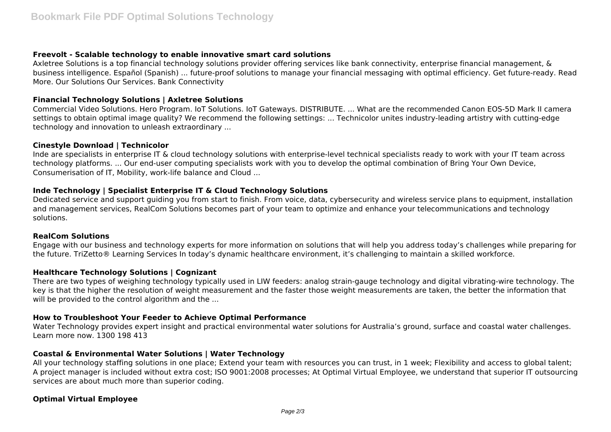## **Freevolt - Scalable technology to enable innovative smart card solutions**

Axletree Solutions is a top financial technology solutions provider offering services like bank connectivity, enterprise financial management, & business intelligence. Español (Spanish) ... future-proof solutions to manage your financial messaging with optimal efficiency. Get future-ready. Read More. Our Solutions Our Services. Bank Connectivity

## **Financial Technology Solutions | Axletree Solutions**

Commercial Video Solutions. Hero Program. IoT Solutions. IoT Gateways. DISTRIBUTE. ... What are the recommended Canon EOS-5D Mark II camera settings to obtain optimal image quality? We recommend the following settings: ... Technicolor unites industry-leading artistry with cutting-edge technology and innovation to unleash extraordinary ...

## **Cinestyle Download | Technicolor**

Inde are specialists in enterprise IT & cloud technology solutions with enterprise-level technical specialists ready to work with your IT team across technology platforms. ... Our end-user computing specialists work with you to develop the optimal combination of Bring Your Own Device, Consumerisation of IT, Mobility, work-life balance and Cloud ...

# **Inde Technology | Specialist Enterprise IT & Cloud Technology Solutions**

Dedicated service and support guiding you from start to finish. From voice, data, cybersecurity and wireless service plans to equipment, installation and management services, RealCom Solutions becomes part of your team to optimize and enhance your telecommunications and technology solutions.

## **RealCom Solutions**

Engage with our business and technology experts for more information on solutions that will help you address today's challenges while preparing for the future. TriZetto® Learning Services In today's dynamic healthcare environment, it's challenging to maintain a skilled workforce.

# **Healthcare Technology Solutions | Cognizant**

There are two types of weighing technology typically used in LIW feeders: analog strain-gauge technology and digital vibrating-wire technology. The key is that the higher the resolution of weight measurement and the faster those weight measurements are taken, the better the information that will be provided to the control algorithm and the ...

# **How to Troubleshoot Your Feeder to Achieve Optimal Performance**

Water Technology provides expert insight and practical environmental water solutions for Australia's ground, surface and coastal water challenges. Learn more now. 1300 198 413

# **Coastal & Environmental Water Solutions | Water Technology**

All your technology staffing solutions in one place; Extend your team with resources you can trust, in 1 week; Flexibility and access to global talent; A project manager is included without extra cost; ISO 9001:2008 processes; At Optimal Virtual Employee, we understand that superior IT outsourcing services are about much more than superior coding.

# **Optimal Virtual Employee**